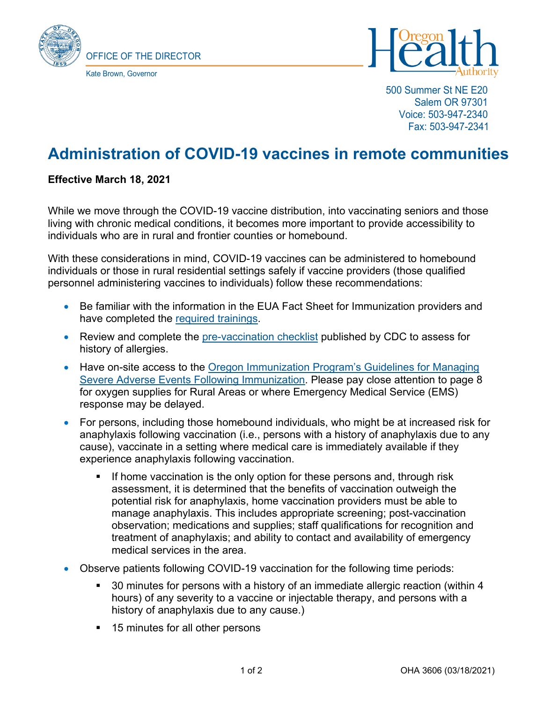



500 Summer St NE E20 Salem OR 97301 Voice: 503-947-2340 Fax: 503-947-2341

## **Administration of COVID-19 vaccines in remote communities**

## **Effective March 18, 2021**

While we move through the COVID-19 vaccine distribution, into vaccinating seniors and those living with chronic medical conditions, it becomes more important to provide accessibility to individuals who are in rural and frontier counties or homebound.

With these considerations in mind, COVID-19 vaccines can be administered to homebound individuals or those in rural residential settings safely if vaccine providers (those qualified personnel administering vaccines to individuals) follow these recommendations:

- Be familiar with the information in the EUA Fact Sheet for Immunization providers and have completed the [required trainings.](https://www.oregon.gov/oha/PH/PREVENTIONWELLNESS/VACCINESIMMUNIZATION/IMMUNIZATIONPROVIDERRESOURCES/Pages/COVIDTraining.aspx)
- Review and complete the [pre-vaccination checklist](https://www.cdc.gov/vaccines/covid-19/downloads/pre-vaccination-screening-form.pdf) published by CDC to assess for history of allergies.
- Have on-site access to the Oregon Immunization Program's Guidelines for Managing [Severe Adverse Events Following Immunization.](https://www.oregon.gov/oha/PH/PREVENTIONWELLNESS/VACCINESIMMUNIZATION/IMMUNIZATIONPROVIDERRESOURCES/Documents/SOAEMgt.pdf) Please pay close attention to page 8 for oxygen supplies for Rural Areas or where Emergency Medical Service (EMS) response may be delayed.
- For persons, including those homebound individuals, who might be at increased risk for anaphylaxis following vaccination (i.e., persons with a history of anaphylaxis due to any cause), vaccinate in a setting where medical care is immediately available if they experience anaphylaxis following vaccination.
	- If home vaccination is the only option for these persons and, through risk assessment, it is determined that the benefits of vaccination outweigh the potential risk for anaphylaxis, home vaccination providers must be able to manage anaphylaxis. This includes appropriate screening; post-vaccination observation; medications and supplies; staff qualifications for recognition and treatment of anaphylaxis; and ability to contact and availability of emergency medical services in the area.
- Observe patients following COVID-19 vaccination for the following time periods:
	- 30 minutes for persons with a history of an immediate allergic reaction (within 4 hours) of any severity to a vaccine or injectable therapy, and persons with a history of anaphylaxis due to any cause.)
	- **15 minutes for all other persons**